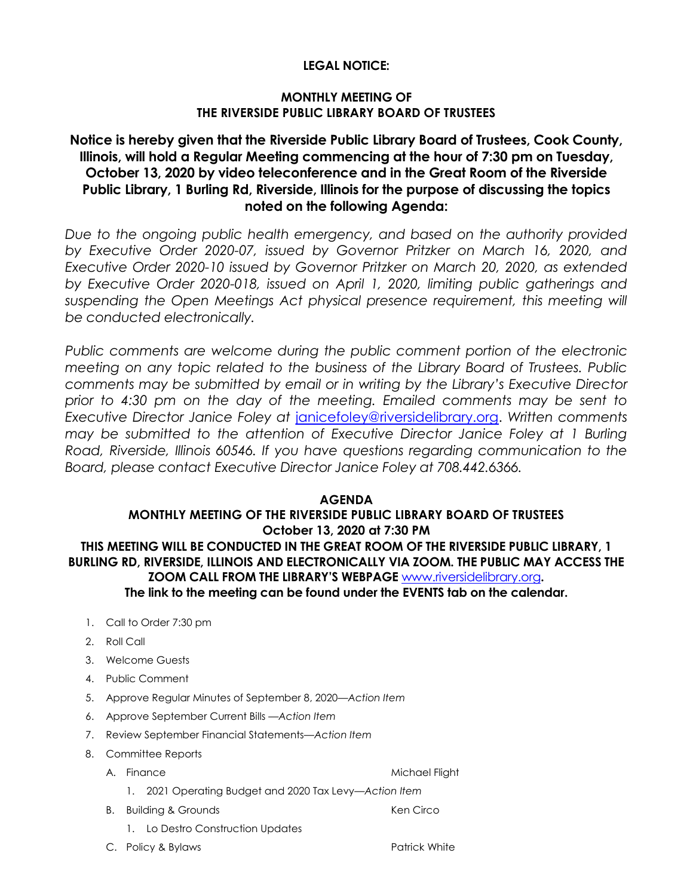### **LEGAL NOTICE:**

### **MONTHLY MEETING OF THE RIVERSIDE PUBLIC LIBRARY BOARD OF TRUSTEES**

# **Notice is hereby given that the Riverside Public Library Board of Trustees, Cook County, Illinois, will hold a Regular Meeting commencing at the hour of 7:30 pm on Tuesday, October 13, 2020 by video teleconference and in the Great Room of the Riverside Public Library, 1 Burling Rd, Riverside, Illinois for the purpose of discussing the topics noted on the following Agenda:**

*Due to the ongoing public health emergency, and based on the authority provided by Executive Order 2020-07, issued by Governor Pritzker on March 16, 2020, and Executive Order 2020-10 issued by Governor Pritzker on March 20, 2020, as extended by Executive Order 2020-018, issued on April 1, 2020, limiting public gatherings and*  suspending the Open Meetings Act physical presence requirement, this meeting will *be conducted electronically.* 

*Public comments are welcome during the public comment portion of the electronic meeting on any topic related to the business of the Library Board of Trustees. Public comments may be submitted by email or in writing by the Library's Executive Director prior to 4:30 pm on the day of the meeting. Emailed comments may be sent to Executive Director Janice Foley at* [janicefoley@riversidelibrary.org.](mailto:janicefoley@riversidelibrary.org) *Written comments may be submitted to the attention of Executive Director Janice Foley at 1 Burling Road, Riverside, Illinois 60546. If you have questions regarding communication to the Board, please contact Executive Director Janice Foley at 708.442.6366.* 

# **AGENDA**

### **MONTHLY MEETING OF THE RIVERSIDE PUBLIC LIBRARY BOARD OF TRUSTEES October 13, 2020 at 7:30 PM**

#### **THIS MEETING WILL BE CONDUCTED IN THE GREAT ROOM OF THE RIVERSIDE PUBLIC LIBRARY, 1 BURLING RD, RIVERSIDE, ILLINOIS AND ELECTRONICALLY VIA ZOOM. THE PUBLIC MAY ACCESS THE ZOOM CALL FROM THE LIBRARY'S WEBPAGE** [www.riversidelibrary.org](http://www.riversidelibrary.org/)**. The link to the meeting can be found under the EVENTS tab on the calendar.**

- 1. Call to Order 7:30 pm
- 2. Roll Call
- 3. Welcome Guests
- 4. Public Comment
- 5. Approve Regular Minutes of September 8, 2020*—Action Item*
- 6. Approve September Current Bills —*Action Item*
- 7. Review September Financial Statements—*Action Item*
- 8. Committee Reports
	- A. Finance Michael Flight
		- 1. 2021 Operating Budget and 2020 Tax Levy*—Action Item*
	- B. Building & Grounds **Ken Circo** 
		- 1. Lo Destro Construction Updates
	- C. Policy & Bylaws **Patrick White** Patrick White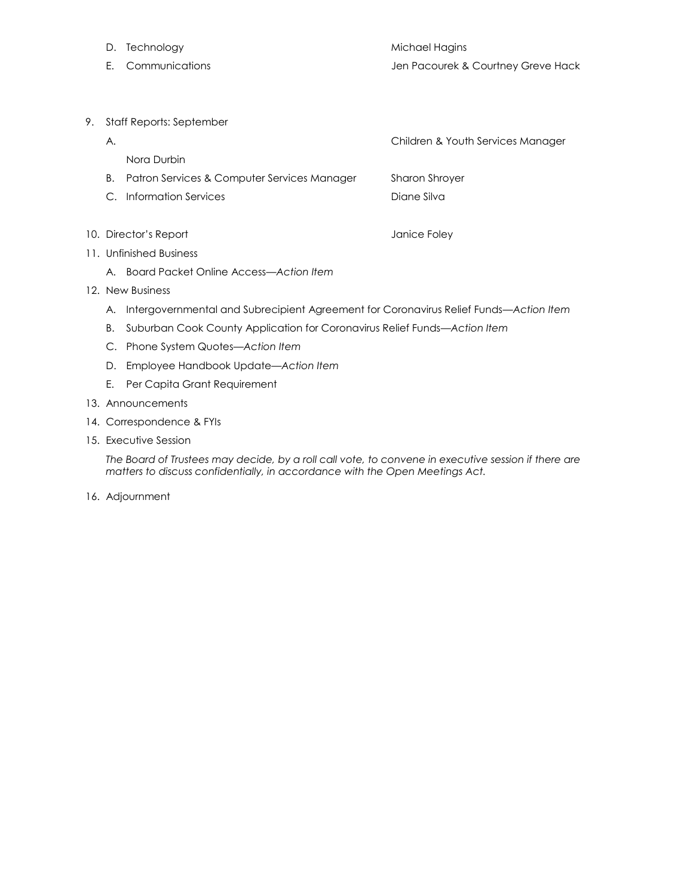- D. Technology and the matter of the Michael Hagins
- 
- E. Communications Jen Pacourek & Courtney Greve Hack
- 9. Staff Reports: September

| А. |                                             | Children & Youth Services Manager |
|----|---------------------------------------------|-----------------------------------|
|    | Nora Durbin                                 |                                   |
| В. | Patron Services & Computer Services Manager | <b>Sharon Shroyer</b>             |
|    | C. Information Services                     | Diane Silva                       |
|    |                                             |                                   |

- 10. Director's Report and Table 10. Director's Report
- 11. Unfinished Business
	- A. Board Packet Online Access*—Action Item*
- 12. New Business
	- A. Intergovernmental and Subrecipient Agreement for Coronavirus Relief Funds*—Action Item*
	- B. Suburban Cook County Application for Coronavirus Relief Funds—*Action Item*
	- C. Phone System Quotes*—Action Item*
	- D. Employee Handbook Update*—Action Item*
	- E. Per Capita Grant Requirement
- 13. Announcements
- 14. Correspondence & FYIs
- 15. Executive Session

*The Board of Trustees may decide, by a roll call vote, to convene in executive session if there are matters to discuss confidentially, in accordance with the Open Meetings Act.*

16. Adjournment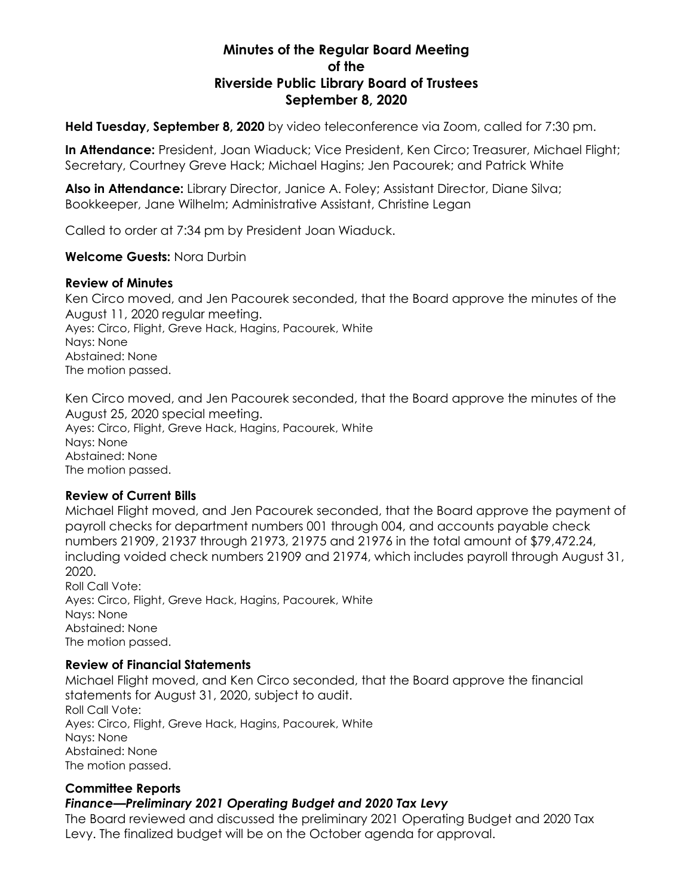# **Minutes of the Regular Board Meeting of the Riverside Public Library Board of Trustees September 8, 2020**

**Held Tuesday, September 8, 2020** by video teleconference via Zoom, called for 7:30 pm.

**In Attendance:** President, Joan Wiaduck; Vice President, Ken Circo; Treasurer, Michael Flight; Secretary, Courtney Greve Hack; Michael Hagins; Jen Pacourek; and Patrick White

**Also in Attendance:** Library Director, Janice A. Foley; Assistant Director, Diane Silva; Bookkeeper, Jane Wilhelm; Administrative Assistant, Christine Legan

Called to order at 7:34 pm by President Joan Wiaduck.

#### **Welcome Guests:** Nora Durbin

#### **Review of Minutes**

Ken Circo moved, and Jen Pacourek seconded, that the Board approve the minutes of the August 11, 2020 regular meeting. Ayes: Circo, Flight, Greve Hack, Hagins, Pacourek, White Nays: None Abstained: None The motion passed.

Ken Circo moved, and Jen Pacourek seconded, that the Board approve the minutes of the August 25, 2020 special meeting. Ayes: Circo, Flight, Greve Hack, Hagins, Pacourek, White Nays: None Abstained: None The motion passed.

# **Review of Current Bills**

Michael Flight moved, and Jen Pacourek seconded, that the Board approve the payment of payroll checks for department numbers 001 through 004, and accounts payable check numbers 21909, 21937 through 21973, 21975 and 21976 in the total amount of \$79,472.24, including voided check numbers 21909 and 21974, which includes payroll through August 31, 2020. Roll Call Vote: Ayes: Circo, Flight, Greve Hack, Hagins, Pacourek, White

Nays: None Abstained: None The motion passed.

# **Review of Financial Statements**

Michael Flight moved, and Ken Circo seconded, that the Board approve the financial statements for August 31, 2020, subject to audit. Roll Call Vote: Ayes: Circo, Flight, Greve Hack, Hagins, Pacourek, White Nays: None Abstained: None The motion passed.

# **Committee Reports**

# *Finance—Preliminary 2021 Operating Budget and 2020 Tax Levy*

The Board reviewed and discussed the preliminary 2021 Operating Budget and 2020 Tax Levy. The finalized budget will be on the October agenda for approval.